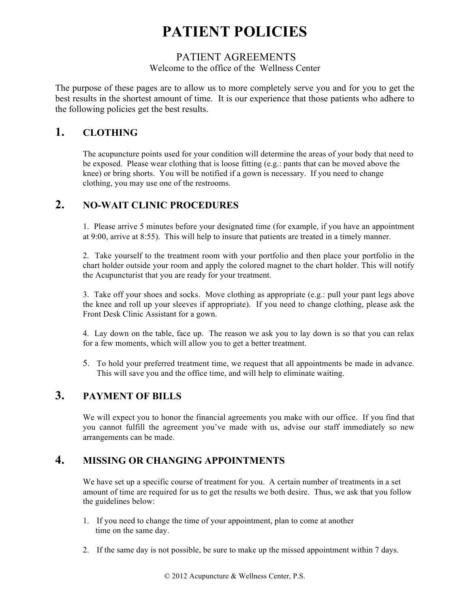# **PATIENT POLICIES**

#### PATIENT AGREEMENTS

#### Welcome to the office of the Wellness Center

The purpose of these pages are to allow us to more completely serve you and for you to get the best results in the shortest amount of time. It is our experience that those patients who adhere to the following policies get the best results.

### **1. CLOTHING**

The acupuncture points used for your condition will determine the areas of your body that need to be exposed. Please wear clothing that is loose fitting (e.g.: pants that can be moved above the knee) or bring shorts. You will be notified if a gown is necessary. If you need to change clothing, you may use one of the restrooms.

## **2. NO-WAIT CLINIC PROCEDURES**

1. Please arrive 5 minutes before your designated time (for example, if you have an appointment at 9:00, arrive at 8:55). This will help to insure that patients are treated in a timely manner.

2. Take yourself to the treatment room with your portfolio and then place your portfolio in the chart holder outside your room and apply the colored magnet to the chart holder. This will notify the Acupuncturist that you are ready for your treatment.

3. Take off your shoes and socks. Move clothing as appropriate (e.g.: pull your pant legs above the knee and roll up your sleeves if appropriate). If you need to change clothing, please ask the Front Desk Clinic Assistant for a gown.

4. Lay down on the table, face up. The reason we ask you to lay down is so that you can relax for a few moments, which will allow you to get a better treatment.

5. To hold your preferred treatment time, we request that all appointments be made in advance. This will save you and the office time, and will help to eliminate waiting.

## **3. PAYMENT OF BILLS**

We will expect you to honor the financial agreements you make with our office. If you find that you cannot fulfill the agreement you've made with us, advise our staff immediately so new arrangements can be made.

#### **4. MISSING OR CHANGING APPOINTMENTS**

We have set up a specific course of treatment for you. A certain number of treatments in a set amount of time are required for us to get the results we both desire. Thus, we ask that you follow the guidelines below:

- 1. If you need to change the time of your appointment, plan to come at another time on the same day.
- 2. If the same day is not possible, be sure to make up the missed appointment within 7 days.